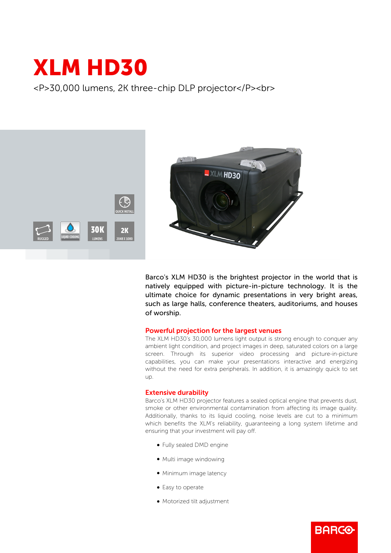## XLM HD30

<P>30,000 lumens, 2K three-chip DLP projector</P><br>



Barco's XLM HD30 is the brightest projector in the world that is natively equipped with picture-in-picture technology. It is the ultimate choice for dynamic presentations in very bright areas, such as large halls, conference theaters, auditoriums, and houses of worship.

## Powerful projection for the largest venues

The XLM HD30's 30,000 lumens light output is strong enough to conquer any ambient light condition, and project images in deep, saturated colors on a large screen. Through its superior video processing and picture-in-picture capabilities, you can make your presentations interactive and energizing without the need for extra peripherals. In addition, it is amazingly quick to set up.

## Extensive durability

Barco's XLM HD30 projector features a sealed optical engine that prevents dust, smoke or other environmental contamination from affecting its image quality. Additionally, thanks to its liquid cooling, noise levels are cut to a minimum which benefits the XLM's reliability, guaranteeing a long system lifetime and ensuring that your investment will pay off.

**BARCO** 

- Fully sealed DMD engine
- Multi image windowing
- Minimum image latency
- Easy to operate
- Motorized tilt adjustment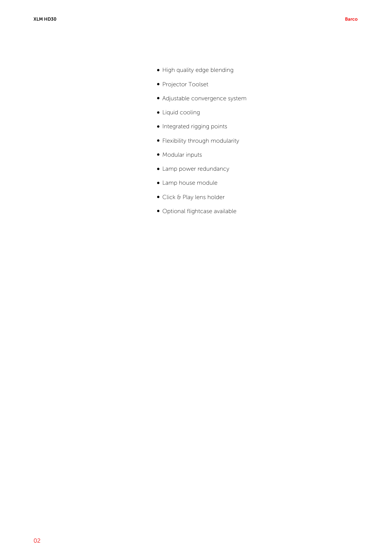- $\bullet$  High quality edge blending
- Projector Toolset
- Adjustable convergence system
- Liquid cooling
- $\bullet$  Integrated rigging points
- Flexibility through modularity
- Modular inputs
- Lamp power redundancy
- Lamp house module
- Click & Play lens holder
- · Optional flightcase available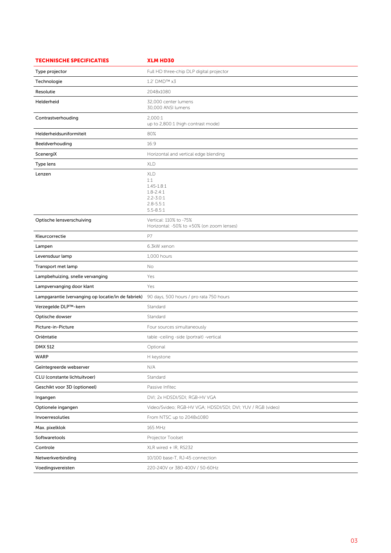| <b>TECHNISCHE SPECIFICATIES</b>                    | <b>XLM HD30</b>                                                                                         |
|----------------------------------------------------|---------------------------------------------------------------------------------------------------------|
| Type projector                                     | Full HD three-chip DLP digital projector                                                                |
| Technologie                                        | 1.2' DMD™ x3                                                                                            |
| Resolutie                                          | 2048x1080                                                                                               |
| Helderheid                                         | 32,000 center lumens<br>30,000 ANSI lumens                                                              |
| Contrastverhouding                                 | 2,000:1<br>up to 2,800:1 (high contrast mode)                                                           |
| Helderheidsuniformiteit                            | 80%                                                                                                     |
| Beeldverhouding                                    | 16:9                                                                                                    |
| ScenergiX                                          | Horizontal and vertical edge blending                                                                   |
| Type lens                                          | <b>XLD</b>                                                                                              |
| Lenzen                                             | <b>XLD</b><br>1:1<br>$1.45 - 1.8:1$<br>$1.8 - 2.4:1$<br>$2.2 - 3.0:1$<br>$2.8 - 5.5:1$<br>$5.5 - 8.5:1$ |
| Optische lensverschuiving                          | Vertical: 110% to -75%<br>Horizontal: -50% to +50% (on zoom lenses)                                     |
| Kleurcorrectie                                     | P7                                                                                                      |
| Lampen                                             | 6.3kW xenon                                                                                             |
| Levensduur lamp                                    | 1,000 hours                                                                                             |
| Transport met lamp                                 | No                                                                                                      |
| Lampbehuizing, snelle vervanging                   | Yes                                                                                                     |
| Lampvervanging door klant                          | Yes                                                                                                     |
| Lampgarantie (vervanging op locatie/in de fabriek) | 90 days, 500 hours / pro rata 750 hours                                                                 |
| Verzegelde DLP™-kern                               | Standard                                                                                                |
| Optische dowser                                    | Standard                                                                                                |
| Picture-in-Picture                                 | Four sources simultaneously                                                                             |
| Oriëntatie                                         | table -ceiling -side (portrait) -vertical                                                               |
| <b>DMX 512</b>                                     | Optional                                                                                                |
| <b>WARP</b>                                        | H keystone                                                                                              |
| Geïntegreerde webserver                            | N/A                                                                                                     |
| CLU (constante lichtuitvoer)                       | Standard                                                                                                |
| Geschikt voor 3D (optioneel)                       | Passive Infitec                                                                                         |
| Ingangen                                           | DVI; 2x HDSDI/SDI; RGB-HV VGA                                                                           |
| Optionele ingangen                                 | Video/Svideo; RGB-HV VGA; HDSDI/SDI; DVI; YUV / RGB (video)                                             |
| Invoerresoluties                                   | From NTSC up to 2048x1080                                                                               |
| Max. pixelklok                                     | 165 MHz                                                                                                 |
| Softwaretools                                      | Projector Toolset                                                                                       |
| Controle                                           | XLR wired + IR, RS232                                                                                   |
| Netwerkverbinding                                  | 10/100 base-T, RJ-45 connection                                                                         |
| Voedingsvereisten                                  | 220-240V or 380-400V / 50-60Hz                                                                          |